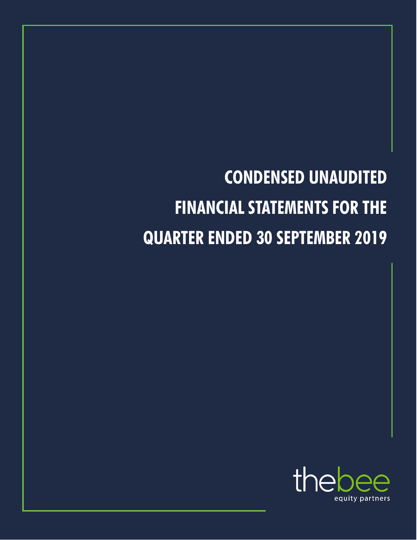

# **CONDENSED UNAUDITED FINANCIAL STATEMENTS FOR THE QUARTER ENDED 30 SEPTEMBER 2019**